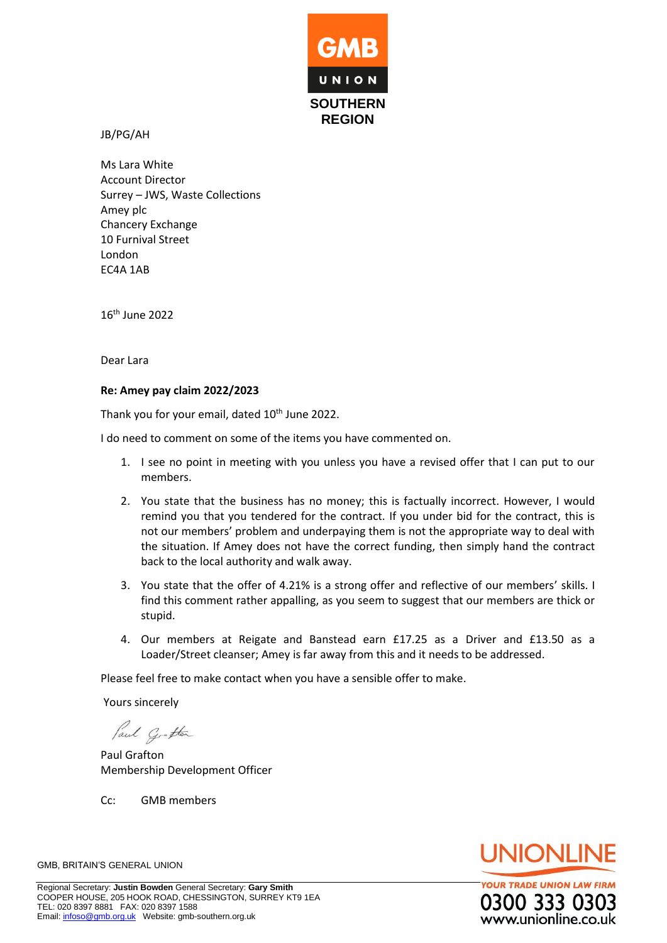

JB/PG/AH

Ms Lara White Account Director Surrey – JWS, Waste Collections Amey plc Chancery Exchange 10 Furnival Street London EC4A 1AB

16th June 2022

Dear Lara

## **Re: Amey pay claim 2022/2023**

Thank you for your email, dated 10<sup>th</sup> June 2022.

I do need to comment on some of the items you have commented on.

- 1. I see no point in meeting with you unless you have a revised offer that I can put to our members.
- 2. You state that the business has no money; this is factually incorrect. However, I would remind you that you tendered for the contract. If you under bid for the contract, this is not our members' problem and underpaying them is not the appropriate way to deal with the situation. If Amey does not have the correct funding, then simply hand the contract back to the local authority and walk away.
- 3. You state that the offer of 4.21% is a strong offer and reflective of our members' skills. I find this comment rather appalling, as you seem to suggest that our members are thick or stupid.
- 4. Our members at Reigate and Banstead earn £17.25 as a Driver and £13.50 as a Loader/Street cleanser; Amey is far away from this and it needs to be addressed.

Please feel free to make contact when you have a sensible offer to make.

Yours sincerely

Paul Grafton

Paul Grafton Membership Development Officer

Cc: GMB members



**YOUR TRADE UNION LAW FIRM** 0300 333 030 www.unionline.co.uk

GMB, BRITAIN'S GENERAL UNION